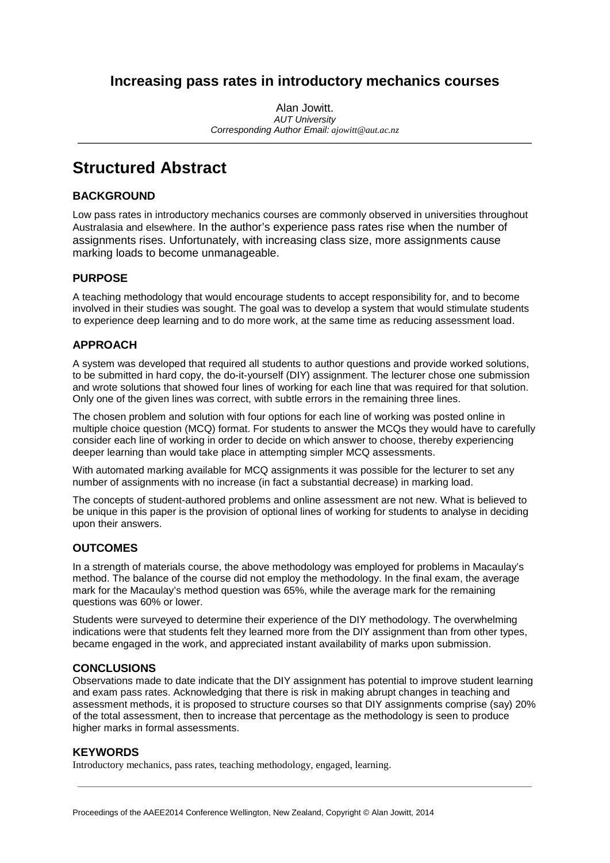## **Increasing pass rates in introductory mechanics courses**

Alan Jowitt.

*AUT University Corresponding Author Email: ajowitt@aut.ac.nz*

## **Structured Abstract**

## **BACKGROUND**

Low pass rates in introductory mechanics courses are commonly observed in universities throughout Australasia and elsewhere. In the author's experience pass rates rise when the number of assignments rises. Unfortunately, with increasing class size, more assignments cause marking loads to become unmanageable.

### **PURPOSE**

A teaching methodology that would encourage students to accept responsibility for, and to become involved in their studies was sought. The goal was to develop a system that would stimulate students to experience deep learning and to do more work, at the same time as reducing assessment load.

### **APPROACH**

A system was developed that required all students to author questions and provide worked solutions, to be submitted in hard copy, the do-it-yourself (DIY) assignment. The lecturer chose one submission and wrote solutions that showed four lines of working for each line that was required for that solution. Only one of the given lines was correct, with subtle errors in the remaining three lines.

The chosen problem and solution with four options for each line of working was posted online in multiple choice question (MCQ) format. For students to answer the MCQs they would have to carefully consider each line of working in order to decide on which answer to choose, thereby experiencing deeper learning than would take place in attempting simpler MCQ assessments.

With automated marking available for MCQ assignments it was possible for the lecturer to set any number of assignments with no increase (in fact a substantial decrease) in marking load.

The concepts of student-authored problems and online assessment are not new. What is believed to be unique in this paper is the provision of optional lines of working for students to analyse in deciding upon their answers.

## **OUTCOMES**

In a strength of materials course, the above methodology was employed for problems in Macaulay's method. The balance of the course did not employ the methodology. In the final exam, the average mark for the Macaulay's method question was 65%, while the average mark for the remaining questions was 60% or lower.

Students were surveyed to determine their experience of the DIY methodology. The overwhelming indications were that students felt they learned more from the DIY assignment than from other types, became engaged in the work, and appreciated instant availability of marks upon submission.

### **CONCLUSIONS**

Observations made to date indicate that the DIY assignment has potential to improve student learning and exam pass rates. Acknowledging that there is risk in making abrupt changes in teaching and assessment methods, it is proposed to structure courses so that DIY assignments comprise (say) 20% of the total assessment, then to increase that percentage as the methodology is seen to produce higher marks in formal assessments.

#### **KEYWORDS**

Introductory mechanics, pass rates, teaching methodology, engaged, learning.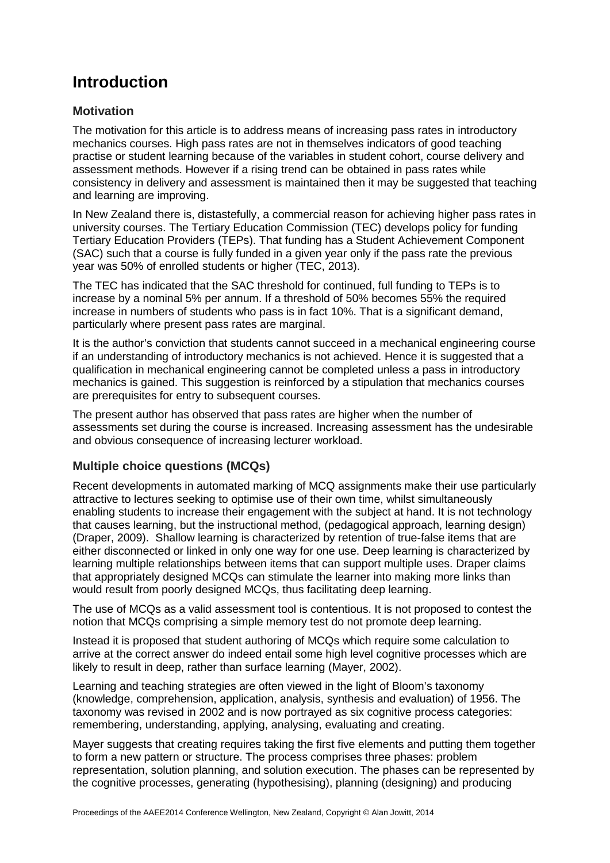# **Introduction**

## **Motivation**

The motivation for this article is to address means of increasing pass rates in introductory mechanics courses. High pass rates are not in themselves indicators of good teaching practise or student learning because of the variables in student cohort, course delivery and assessment methods. However if a rising trend can be obtained in pass rates while consistency in delivery and assessment is maintained then it may be suggested that teaching and learning are improving.

In New Zealand there is, distastefully, a commercial reason for achieving higher pass rates in university courses. The Tertiary Education Commission (TEC) develops policy for funding Tertiary Education Providers (TEPs). That funding has a Student Achievement Component (SAC) such that a course is fully funded in a given year only if the pass rate the previous year was 50% of enrolled students or higher [\(TEC, 2013\)](#page-7-0).

The TEC has indicated that the SAC threshold for continued, full funding to TEPs is to increase by a nominal 5% per annum. If a threshold of 50% becomes 55% the required increase in numbers of students who pass is in fact 10%. That is a significant demand, particularly where present pass rates are marginal.

It is the author's conviction that students cannot succeed in a mechanical engineering course if an understanding of introductory mechanics is not achieved. Hence it is suggested that a qualification in mechanical engineering cannot be completed unless a pass in introductory mechanics is gained. This suggestion is reinforced by a stipulation that mechanics courses are prerequisites for entry to subsequent courses.

The present author has observed that pass rates are higher when the number of assessments set during the course is increased. Increasing assessment has the undesirable and obvious consequence of increasing lecturer workload.

## **Multiple choice questions (MCQs)**

Recent developments in automated marking of MCQ assignments make their use particularly attractive to lectures seeking to optimise use of their own time, whilst simultaneously enabling students to increase their engagement with the subject at hand. It is not technology that causes learning, but the instructional method, (pedagogical approach, learning design) [\(Draper, 2009\)](#page-7-1). Shallow learning is characterized by retention of true-false items that are either disconnected or linked in only one way for one use. Deep learning is characterized by learning multiple relationships between items that can support multiple uses. Draper claims that appropriately designed MCQs can stimulate the learner into making more links than would result from poorly designed MCQs, thus facilitating deep learning.

The use of MCQs as a valid assessment tool is contentious. It is not proposed to contest the notion that MCQs comprising a simple memory test do not promote deep learning.

Instead it is proposed that student authoring of MCQs which require some calculation to arrive at the correct answer do indeed entail some high level cognitive processes which are likely to result in deep, rather than surface learning [\(Mayer, 2002\)](#page-7-2).

Learning and teaching strategies are often viewed in the light of Bloom's taxonomy (knowledge, comprehension, application, analysis, synthesis and evaluation) of 1956. The taxonomy was revised in 2002 and is now portrayed as six cognitive process categories: remembering, understanding, applying, analysing, evaluating and creating.

Mayer suggests that creating requires taking the first five elements and putting them together to form a new pattern or structure. The process comprises three phases: problem representation, solution planning, and solution execution. The phases can be represented by the cognitive processes, generating (hypothesising), planning (designing) and producing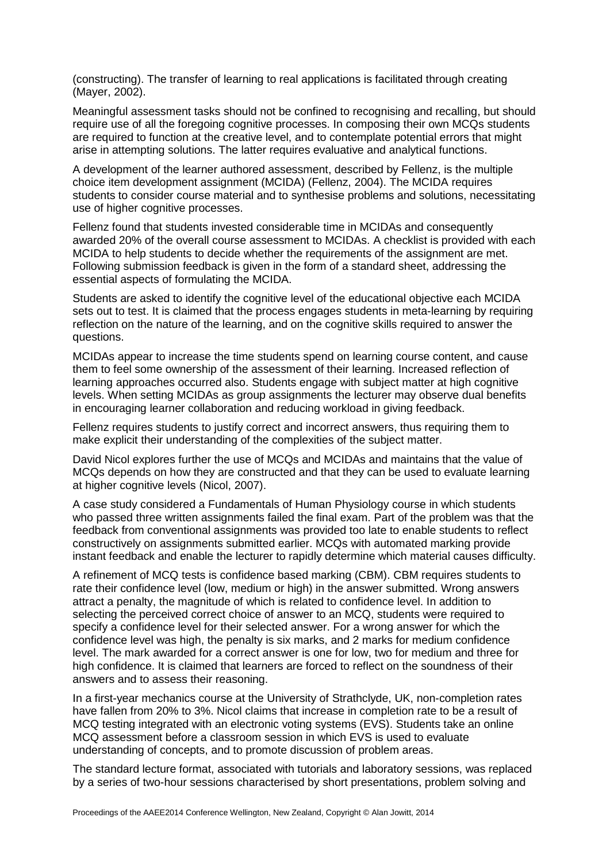(constructing). The transfer of learning to real applications is facilitated through creating [\(Mayer, 2002\)](#page-7-2).

Meaningful assessment tasks should not be confined to recognising and recalling, but should require use of all the foregoing cognitive processes. In composing their own MCQs students are required to function at the creative level, and to contemplate potential errors that might arise in attempting solutions. The latter requires evaluative and analytical functions.

A development of the learner authored assessment, described by Fellenz, is the multiple choice item development assignment (MCIDA) [\(Fellenz, 2004\)](#page-7-3). The MCIDA requires students to consider course material and to synthesise problems and solutions, necessitating use of higher cognitive processes.

Fellenz found that students invested considerable time in MCIDAs and consequently awarded 20% of the overall course assessment to MCIDAs. A checklist is provided with each MCIDA to help students to decide whether the requirements of the assignment are met. Following submission feedback is given in the form of a standard sheet, addressing the essential aspects of formulating the MCIDA.

Students are asked to identify the cognitive level of the educational objective each MCIDA sets out to test. It is claimed that the process engages students in meta-learning by requiring reflection on the nature of the learning, and on the cognitive skills required to answer the questions.

MCIDAs appear to increase the time students spend on learning course content, and cause them to feel some ownership of the assessment of their learning. Increased reflection of learning approaches occurred also. Students engage with subject matter at high cognitive levels. When setting MCIDAs as group assignments the lecturer may observe dual benefits in encouraging learner collaboration and reducing workload in giving feedback.

Fellenz requires students to justify correct and incorrect answers, thus requiring them to make explicit their understanding of the complexities of the subject matter.

David Nicol explores further the use of MCQs and MCIDAs and maintains that the value of MCQs depends on how they are constructed and that they can be used to evaluate learning at higher cognitive levels [\(Nicol, 2007\)](#page-7-4).

A case study considered a Fundamentals of Human Physiology course in which students who passed three written assignments failed the final exam. Part of the problem was that the feedback from conventional assignments was provided too late to enable students to reflect constructively on assignments submitted earlier. MCQs with automated marking provide instant feedback and enable the lecturer to rapidly determine which material causes difficulty.

A refinement of MCQ tests is confidence based marking (CBM). CBM requires students to rate their confidence level (low, medium or high) in the answer submitted. Wrong answers attract a penalty, the magnitude of which is related to confidence level. In addition to selecting the perceived correct choice of answer to an MCQ, students were required to specify a confidence level for their selected answer. For a wrong answer for which the confidence level was high, the penalty is six marks, and 2 marks for medium confidence level. The mark awarded for a correct answer is one for low, two for medium and three for high confidence. It is claimed that learners are forced to reflect on the soundness of their answers and to assess their reasoning.

In a first-year mechanics course at the University of Strathclyde, UK, non-completion rates have fallen from 20% to 3%. Nicol claims that increase in completion rate to be a result of MCQ testing integrated with an electronic voting systems (EVS). Students take an online MCQ assessment before a classroom session in which EVS is used to evaluate understanding of concepts, and to promote discussion of problem areas.

The standard lecture format, associated with tutorials and laboratory sessions, was replaced by a series of two-hour sessions characterised by short presentations, problem solving and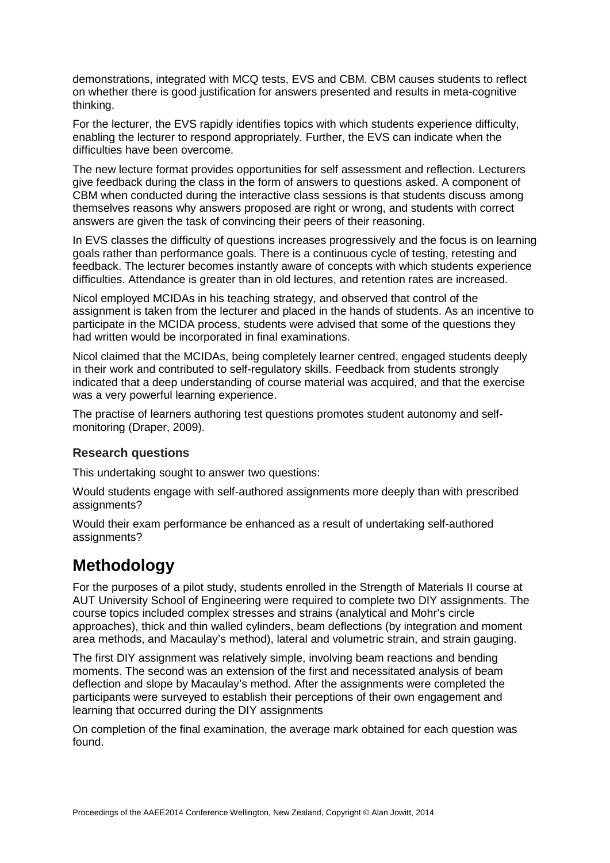demonstrations, integrated with MCQ tests, EVS and CBM. CBM causes students to reflect on whether there is good justification for answers presented and results in meta-cognitive thinking.

For the lecturer, the EVS rapidly identifies topics with which students experience difficulty, enabling the lecturer to respond appropriately. Further, the EVS can indicate when the difficulties have been overcome.

The new lecture format provides opportunities for self assessment and reflection. Lecturers give feedback during the class in the form of answers to questions asked. A component of CBM when conducted during the interactive class sessions is that students discuss among themselves reasons why answers proposed are right or wrong, and students with correct answers are given the task of convincing their peers of their reasoning.

In EVS classes the difficulty of questions increases progressively and the focus is on learning goals rather than performance goals. There is a continuous cycle of testing, retesting and feedback. The lecturer becomes instantly aware of concepts with which students experience difficulties. Attendance is greater than in old lectures, and retention rates are increased.

Nicol employed MCIDAs in his teaching strategy, and observed that control of the assignment is taken from the lecturer and placed in the hands of students. As an incentive to participate in the MCIDA process, students were advised that some of the questions they had written would be incorporated in final examinations.

Nicol claimed that the MCIDAs, being completely learner centred, engaged students deeply in their work and contributed to self-regulatory skills. Feedback from students strongly indicated that a deep understanding of course material was acquired, and that the exercise was a very powerful learning experience.

The practise of learners authoring test questions promotes student autonomy and selfmonitoring [\(Draper, 2009\)](#page-7-1).

## **Research questions**

This undertaking sought to answer two questions:

Would students engage with self-authored assignments more deeply than with prescribed assignments?

Would their exam performance be enhanced as a result of undertaking self-authored assignments?

## **Methodology**

For the purposes of a pilot study, students enrolled in the Strength of Materials II course at AUT University School of Engineering were required to complete two DIY assignments. The course topics included complex stresses and strains (analytical and Mohr's circle approaches), thick and thin walled cylinders, beam deflections (by integration and moment area methods, and Macaulay's method), lateral and volumetric strain, and strain gauging.

The first DIY assignment was relatively simple, involving beam reactions and bending moments. The second was an extension of the first and necessitated analysis of beam deflection and slope by Macaulay's method. After the assignments were completed the participants were surveyed to establish their perceptions of their own engagement and learning that occurred during the DIY assignments

On completion of the final examination, the average mark obtained for each question was found.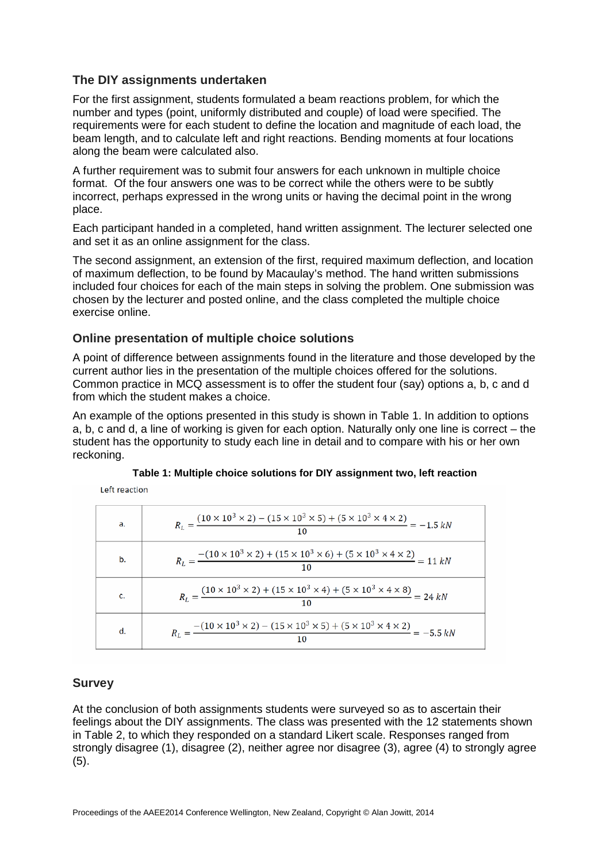## **The DIY assignments undertaken**

For the first assignment, students formulated a beam reactions problem, for which the number and types (point, uniformly distributed and couple) of load were specified. The requirements were for each student to define the location and magnitude of each load, the beam length, and to calculate left and right reactions. Bending moments at four locations along the beam were calculated also.

A further requirement was to submit four answers for each unknown in multiple choice format. Of the four answers one was to be correct while the others were to be subtly incorrect, perhaps expressed in the wrong units or having the decimal point in the wrong place.

Each participant handed in a completed, hand written assignment. The lecturer selected one and set it as an online assignment for the class.

The second assignment, an extension of the first, required maximum deflection, and location of maximum deflection, to be found by Macaulay's method. The hand written submissions included four choices for each of the main steps in solving the problem. One submission was chosen by the lecturer and posted online, and the class completed the multiple choice exercise online.

### **Online presentation of multiple choice solutions**

A point of difference between assignments found in the literature and those developed by the current author lies in the presentation of the multiple choices offered for the solutions. Common practice in MCQ assessment is to offer the student four (say) options a, b, c and d from which the student makes a choice.

An example of the options presented in this study is shown in [Table 1.](#page-4-0) In addition to options a, b, c and d, a line of working is given for each option. Naturally only one line is correct – the student has the opportunity to study each line in detail and to compare with his or her own reckoning.

| a. | $R_L = \frac{(10 \times 10^3 \times 2) - (15 \times 10^3 \times 5) + (5 \times 10^3 \times 4 \times 2)}{10} = -1.5 kN$  |
|----|-------------------------------------------------------------------------------------------------------------------------|
| b. | $R_L = \frac{-(10 \times 10^3 \times 2) + (15 \times 10^3 \times 6) + (5 \times 10^3 \times 4 \times 2)}{10} = 11 kN$   |
| c. | $R_L = \frac{(10 \times 10^3 \times 2) + (15 \times 10^3 \times 4) + (5 \times 10^3 \times 4 \times 8)}{10} = 24 kN$    |
| d. | $R_L = \frac{-(10 \times 10^3 \times 2) - (15 \times 10^3 \times 5) + (5 \times 10^3 \times 4 \times 2)}{10} = -5.5 kN$ |

#### <span id="page-4-0"></span>**Table 1: Multiple choice solutions for DIY assignment two, left reaction** Left reaction

### **Survey**

At the conclusion of both assignments students were surveyed so as to ascertain their feelings about the DIY assignments. The class was presented with the 12 statements shown in [Table 2,](#page-5-0) to which they responded on a standard Likert scale. Responses ranged from strongly disagree (1), disagree (2), neither agree nor disagree (3), agree (4) to strongly agree (5).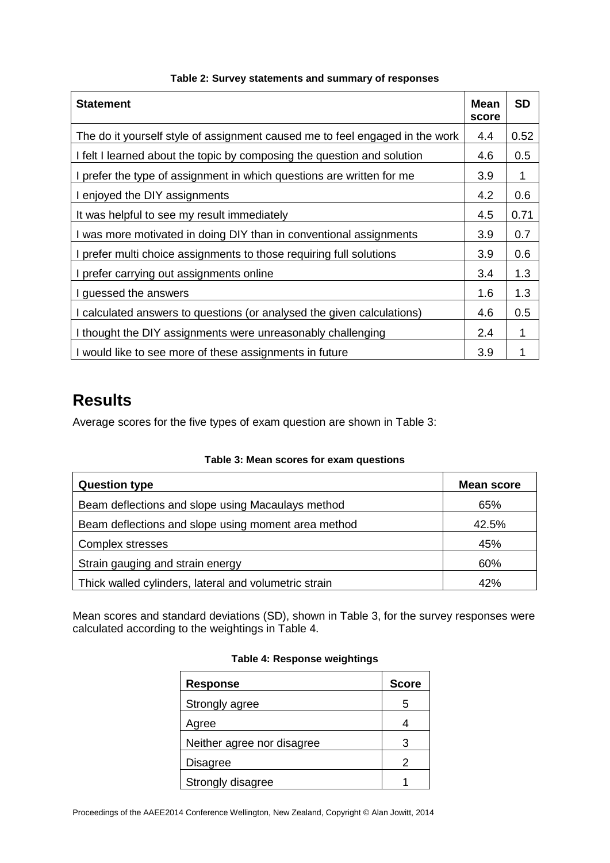<span id="page-5-0"></span>

| <b>Statement</b>                                                             |     | <b>SD</b> |
|------------------------------------------------------------------------------|-----|-----------|
| The do it yourself style of assignment caused me to feel engaged in the work | 4.4 | 0.52      |
| I felt I learned about the topic by composing the question and solution      | 4.6 | 0.5       |
| I prefer the type of assignment in which questions are written for me        | 3.9 | 1         |
| I enjoyed the DIY assignments                                                | 4.2 | 0.6       |
| It was helpful to see my result immediately                                  |     | 0.71      |
| I was more motivated in doing DIY than in conventional assignments           |     | 0.7       |
| I prefer multi choice assignments to those requiring full solutions          |     | 0.6       |
| I prefer carrying out assignments online                                     |     | 1.3       |
| I guessed the answers                                                        |     | 1.3       |
| I calculated answers to questions (or analysed the given calculations)       | 4.6 | 0.5       |
| I thought the DIY assignments were unreasonably challenging                  | 2.4 | 1         |
| I would like to see more of these assignments in future                      | 3.9 |           |

### **Table 2: Survey statements and summary of responses**

## **Results**

Average scores for the five types of exam question are shown in [Table 3:](#page-5-1)

| Table 3: Mean scores for exam questions |  |  |
|-----------------------------------------|--|--|
|-----------------------------------------|--|--|

<span id="page-5-1"></span>

| <b>Question type</b>                                  | Mean score |
|-------------------------------------------------------|------------|
| Beam deflections and slope using Macaulays method     | 65%        |
| Beam deflections and slope using moment area method   | 42.5%      |
| <b>Complex stresses</b>                               | 45%        |
| Strain gauging and strain energy                      | 60%        |
| Thick walled cylinders, lateral and volumetric strain | 42%        |

<span id="page-5-2"></span>Mean scores and standard deviations (SD), shown in [Table 3,](#page-5-1) for the survey responses were calculated according to the weightings in [Table 4.](#page-5-2)

| <b>Response</b>            | <b>Score</b> |
|----------------------------|--------------|
| Strongly agree             | ٠h           |
| Agree                      |              |
| Neither agree nor disagree | З            |
| <b>Disagree</b>            | 2            |
| Strongly disagree          |              |

|  |  |  | Table 4: Response weightings |  |
|--|--|--|------------------------------|--|
|--|--|--|------------------------------|--|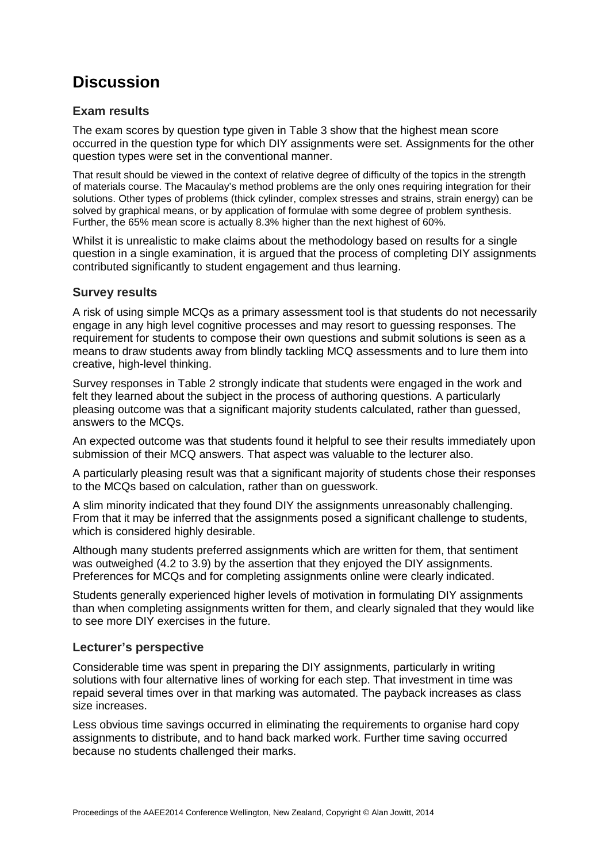# **Discussion**

## **Exam results**

The exam scores by question type given in [Table 3](#page-5-1) show that the highest mean score occurred in the question type for which DIY assignments were set. Assignments for the other question types were set in the conventional manner.

That result should be viewed in the context of relative degree of difficulty of the topics in the strength of materials course. The Macaulay's method problems are the only ones requiring integration for their solutions. Other types of problems (thick cylinder, complex stresses and strains, strain energy) can be solved by graphical means, or by application of formulae with some degree of problem synthesis. Further, the 65% mean score is actually 8.3% higher than the next highest of 60%.

Whilst it is unrealistic to make claims about the methodology based on results for a single question in a single examination, it is argued that the process of completing DIY assignments contributed significantly to student engagement and thus learning.

### **Survey results**

A risk of using simple MCQs as a primary assessment tool is that students do not necessarily engage in any high level cognitive processes and may resort to guessing responses. The requirement for students to compose their own questions and submit solutions is seen as a means to draw students away from blindly tackling MCQ assessments and to lure them into creative, high-level thinking.

Survey responses in [Table 2](#page-5-0) strongly indicate that students were engaged in the work and felt they learned about the subject in the process of authoring questions. A particularly pleasing outcome was that a significant majority students calculated, rather than guessed, answers to the MCQs.

An expected outcome was that students found it helpful to see their results immediately upon submission of their MCQ answers. That aspect was valuable to the lecturer also.

A particularly pleasing result was that a significant majority of students chose their responses to the MCQs based on calculation, rather than on guesswork.

A slim minority indicated that they found DIY the assignments unreasonably challenging. From that it may be inferred that the assignments posed a significant challenge to students, which is considered highly desirable.

Although many students preferred assignments which are written for them, that sentiment was outweighed (4.2 to 3.9) by the assertion that they enjoyed the DIY assignments. Preferences for MCQs and for completing assignments online were clearly indicated.

Students generally experienced higher levels of motivation in formulating DIY assignments than when completing assignments written for them, and clearly signaled that they would like to see more DIY exercises in the future.

### **Lecturer's perspective**

Considerable time was spent in preparing the DIY assignments, particularly in writing solutions with four alternative lines of working for each step. That investment in time was repaid several times over in that marking was automated. The payback increases as class size increases.

Less obvious time savings occurred in eliminating the requirements to organise hard copy assignments to distribute, and to hand back marked work. Further time saving occurred because no students challenged their marks.